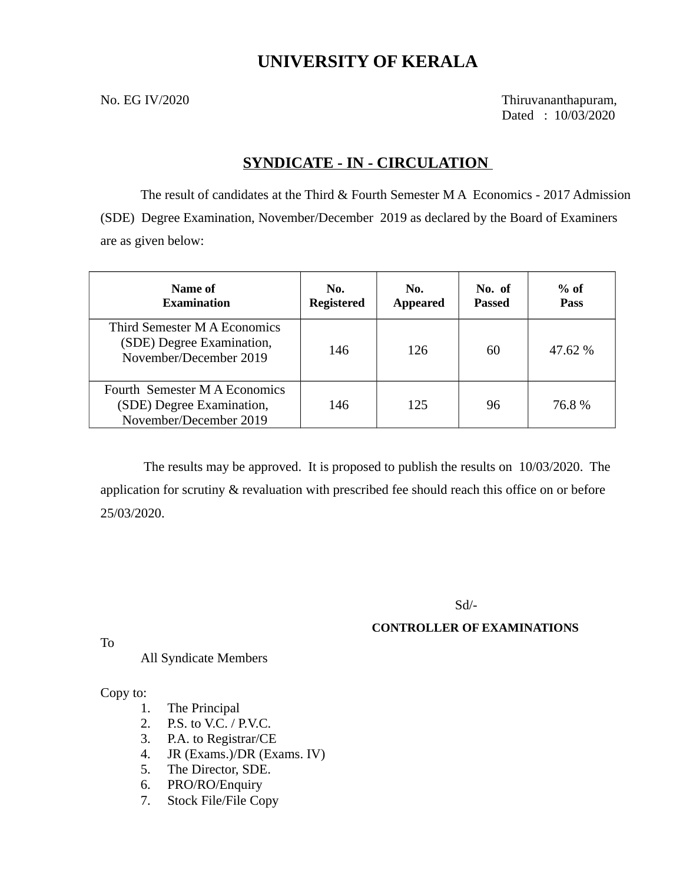## **UNIVERSITY OF KERALA**

No. EG IV/2020 Thiruvananthapuram, Dated : 10/03/2020

## **SYNDICATE - IN - CIRCULATION**

The result of candidates at the Third & Fourth Semester M A Economics - 2017 Admission (SDE) Degree Examination, November/December 2019 as declared by the Board of Examiners are as given below:

| Name of<br><b>Examination</b>                                                        | No.<br><b>Registered</b> | No.<br><b>Appeared</b> | No. of<br>Passed | $%$ of<br><b>Pass</b> |
|--------------------------------------------------------------------------------------|--------------------------|------------------------|------------------|-----------------------|
| Third Semester M A Economics<br>(SDE) Degree Examination,<br>November/December 2019  | 146                      | 126                    | 60               | $47.62\%$             |
| Fourth Semester M A Economics<br>(SDE) Degree Examination,<br>November/December 2019 | 146                      | 125                    | 96               | 76.8%                 |

 The results may be approved. It is proposed to publish the results on 10/03/2020. The application for scrutiny & revaluation with prescribed fee should reach this office on or before 25/03/2020.

Sd/-

### **CONTROLLER OF EXAMINATIONS**

To

All Syndicate Members

Copy to:

- 1. The Principal
- 2. P.S. to V.C. / P.V.C.
- 3. P.A. to Registrar/CE
- 4. JR (Exams.)/DR (Exams. IV)
- 5. The Director, SDE.
- 6. PRO/RO/Enquiry
- 7. Stock File/File Copy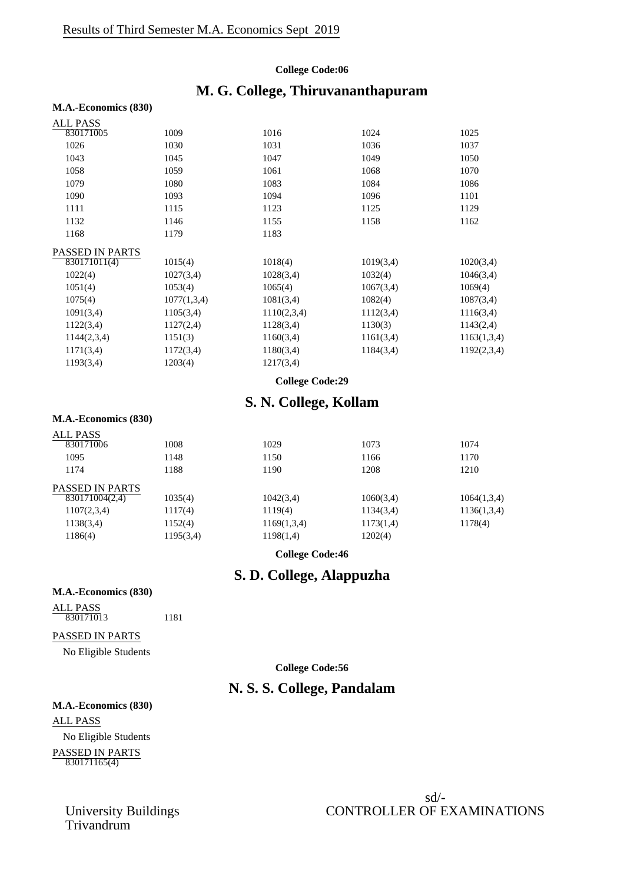#### **College Code:06**

## **M. G. College, Thiruvananthapuram**

#### **M.A.-Economics (830)**

| ALL PASS        |             |             |           |             |
|-----------------|-------------|-------------|-----------|-------------|
| 830171005       | 1009        | 1016        | 1024      | 1025        |
| 1026            | 1030        | 1031        | 1036      | 1037        |
| 1043            | 1045        | 1047        | 1049      | 1050        |
| 1058            | 1059        | 1061        | 1068      | 1070        |
| 1079            | 1080        | 1083        | 1084      | 1086        |
| 1090            | 1093        | 1094        | 1096      | 1101        |
| 1111            | 1115        | 1123        | 1125      | 1129        |
| 1132            | 1146        | 1155        | 1158      | 1162        |
| 1168            | 1179        | 1183        |           |             |
| PASSED IN PARTS |             |             |           |             |
| 830171011(4)    | 1015(4)     | 1018(4)     | 1019(3,4) | 1020(3,4)   |
| 1022(4)         | 1027(3,4)   | 1028(3,4)   | 1032(4)   | 1046(3,4)   |
| 1051(4)         | 1053(4)     | 1065(4)     | 1067(3,4) | 1069(4)     |
| 1075(4)         | 1077(1,3,4) | 1081(3,4)   | 1082(4)   | 1087(3,4)   |
| 1091(3,4)       | 1105(3,4)   | 1110(2,3,4) | 1112(3,4) | 1116(3,4)   |
| 1122(3,4)       | 1127(2,4)   | 1128(3,4)   | 1130(3)   | 1143(2,4)   |
| 1144(2,3,4)     | 1151(3)     | 1160(3,4)   | 1161(3,4) | 1163(1,3,4) |
| 1171(3,4)       | 1172(3,4)   | 1180(3,4)   | 1184(3,4) | 1192(2,3,4) |
| 1193(3,4)       | 1203(4)     | 1217(3,4)   |           |             |
|                 |             |             |           |             |

#### **College Code:29**

## **S. N. College, Kollam**

#### **M.A.-Economics (830)**

| <b>ALL PASS</b>        |           |             |           |             |
|------------------------|-----------|-------------|-----------|-------------|
| 830171006              | 1008      | 1029        | 1073      | 1074        |
| 1095                   | 1148      | 1150        | 1166      | 1170        |
| 1174                   | 1188      | 1190        | 1208      | 1210        |
| <b>PASSED IN PARTS</b> |           |             |           |             |
| 830171004(2,4)         | 1035(4)   | 1042(3,4)   | 1060(3,4) | 1064(1,3,4) |
| 1107(2,3,4)            | 1117(4)   | 1119(4)     | 1134(3,4) | 1136(1,3,4) |
| 1138(3,4)              | 1152(4)   | 1169(1,3,4) | 1173(1,4) | 1178(4)     |
| 1186(4)                | 1195(3,4) | 1198(1,4)   | 1202(4)   |             |
|                        |           |             |           |             |

**College Code:46**

## **S. D. College, Alappuzha**

#### **M.A.-Economics (830)**

ALL PASS 830171013 1181

#### PASSED IN PARTS

No Eligible Students

#### **College Code:56**

## **N. S. S. College, Pandalam**

#### **M.A.-Economics (830)**

ALL PASS No Eligible Students PASSED IN PARTS 830171165(4)

University Buildings<br>Trivandrum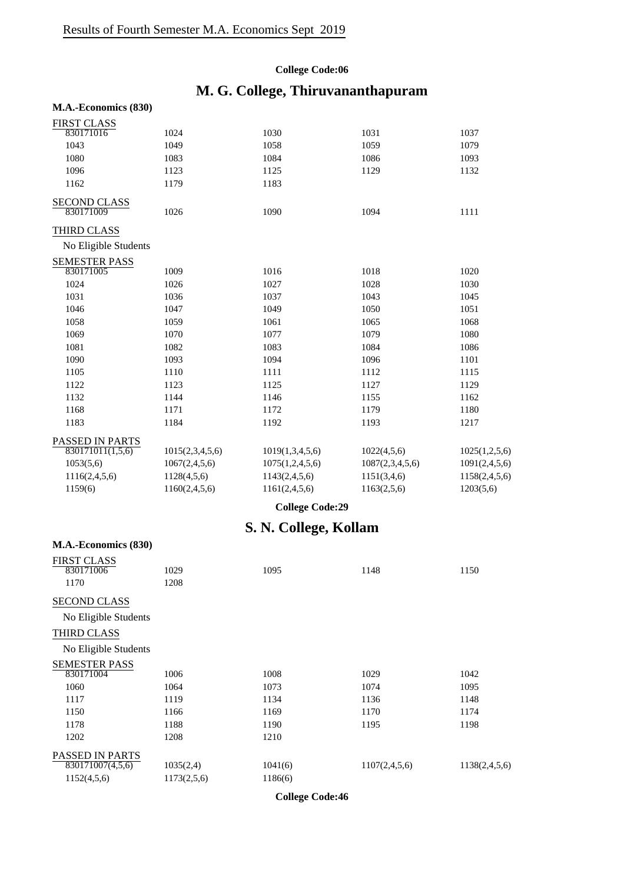### **College Code:06**

# **M. G. College, Thiruvananthapuram**

| M.A.-Economics (830) |                  |                        |                 |               |
|----------------------|------------------|------------------------|-----------------|---------------|
| <b>FIRST CLASS</b>   |                  |                        |                 |               |
| 830171016            | 1024             | 1030                   | 1031            | 1037          |
| 1043                 | 1049             | 1058                   | 1059            | 1079          |
| 1080                 | 1083             | 1084                   | 1086            | 1093          |
| 1096                 | 1123             | 1125                   | 1129            | 1132          |
| 1162                 | 1179             | 1183                   |                 |               |
| <b>SECOND CLASS</b>  |                  |                        |                 |               |
| 830171009            | 1026             | 1090                   | 1094            | 1111          |
| <b>THIRD CLASS</b>   |                  |                        |                 |               |
| No Eligible Students |                  |                        |                 |               |
| <b>SEMESTER PASS</b> |                  |                        |                 |               |
| 830171005            | 1009             | 1016                   | 1018            | 1020          |
| 1024                 | 1026             | 1027                   | 1028            | 1030          |
| 1031                 | 1036             | 1037                   | 1043            | 1045          |
| 1046                 | 1047             | 1049                   | 1050            | 1051          |
| 1058                 | 1059             | 1061                   | 1065            | 1068          |
| 1069                 | 1070             | 1077                   | 1079            | 1080          |
| 1081                 | 1082             | 1083                   | 1084            | 1086          |
| 1090                 | 1093             | 1094                   | 1096            | 1101          |
| 1105                 | 1110             | 1111                   | 1112            | 1115          |
| 1122                 | 1123             | 1125                   | 1127            | 1129          |
| 1132                 | 1144             | 1146                   | 1155            | 1162          |
| 1168                 | 1171             | 1172                   | 1179            | 1180          |
| 1183                 | 1184             | 1192                   | 1193            | 1217          |
| PASSED IN PARTS      |                  |                        |                 |               |
| 830171011(1,5,6)     | 1015(2,3,4,5,6)  | 1019(1,3,4,5,6)        | 1022(4,5,6)     | 1025(1,2,5,6) |
| 1053(5,6)            | 1067(2,4,5,6)    | 1075(1,2,4,5,6)        | 1087(2,3,4,5,6) | 1091(2,4,5,6) |
| 1116(2,4,5,6)        | 1128(4,5,6)      | 1143(2,4,5,6)          | 1151(3,4,6)     | 1158(2,4,5,6) |
| 1159(6)              | 1160(2, 4, 5, 6) | 1161(2,4,5,6)          | 1163(2,5,6)     | 1203(5,6)     |
|                      |                  | <b>College Code:29</b> |                 |               |
|                      |                  | S. N. College, Kollam  |                 |               |
| M.A.-Economics (830) |                  |                        |                 |               |
| <b>FIRST CLASS</b>   |                  |                        |                 |               |
| 830171006            | 1029             | 1095                   | 1148            | 1150          |
| 1170                 | 1208             |                        |                 |               |
| <b>SECOND CLASS</b>  |                  |                        |                 |               |
| No Eligible Students |                  |                        |                 |               |
| THIRD CLASS          |                  |                        |                 |               |
|                      |                  |                        |                 |               |
| No Eligible Students |                  |                        |                 |               |

| TVO Engloie Students |  |
|----------------------|--|
| SEMESTER PASS        |  |
| 0.00171001           |  |

| 830171004                     | 1006        | 1008    | 1029          | 1042          |
|-------------------------------|-------------|---------|---------------|---------------|
| 1060                          | 1064        | 1073    | 1074          | 1095          |
| 1117                          | 1119        | 1134    | 1136          | 1148          |
| 1150                          | 1166        | 1169    | 1170          | 1174          |
| 1178                          | 1188        | 1190    | 1195          | 1198          |
| 1202                          | 1208        | 1210    |               |               |
| PASSED IN PARTS               |             |         |               |               |
| $\overline{830171007(4,5,6)}$ | 1035(2,4)   | 1041(6) | 1107(2,4,5,6) | 1138(2,4,5,6) |
| 1152(4,5,6)                   | 1173(2,5,6) | 1186(6) |               |               |
|                               |             |         |               |               |

**College Code:46**